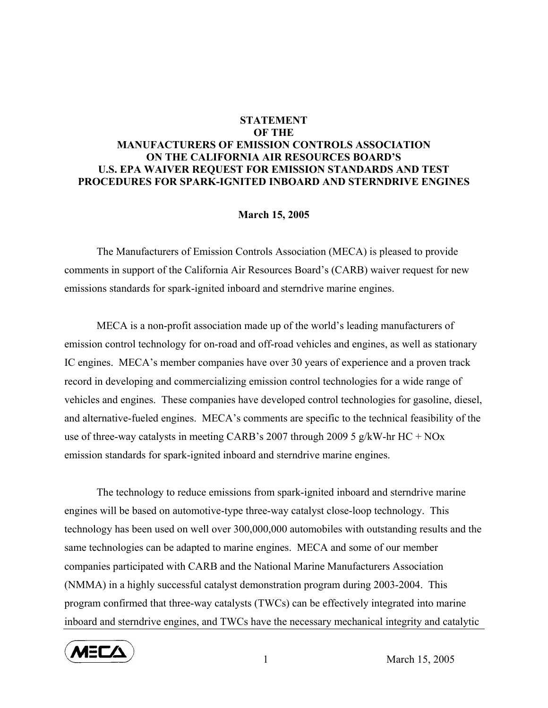## **STATEMENT OF THE MANUFACTURERS OF EMISSION CONTROLS ASSOCIATION ON THE CALIFORNIA AIR RESOURCES BOARD'S U.S. EPA WAIVER REQUEST FOR EMISSION STANDARDS AND TEST PROCEDURES FOR SPARK-IGNITED INBOARD AND STERNDRIVE ENGINES**

## **March 15, 2005**

 The Manufacturers of Emission Controls Association (MECA) is pleased to provide comments in support of the California Air Resources Board's (CARB) waiver request for new emissions standards for spark-ignited inboard and sterndrive marine engines.

MECA is a non-profit association made up of the world's leading manufacturers of emission control technology for on-road and off-road vehicles and engines, as well as stationary IC engines. MECA's member companies have over 30 years of experience and a proven track record in developing and commercializing emission control technologies for a wide range of vehicles and engines. These companies have developed control technologies for gasoline, diesel, and alternative-fueled engines. MECA's comments are specific to the technical feasibility of the use of three-way catalysts in meeting CARB's 2007 through 2009 5 g/kW-hr HC + NOx emission standards for spark-ignited inboard and sterndrive marine engines.

The technology to reduce emissions from spark-ignited inboard and sterndrive marine engines will be based on automotive-type three-way catalyst close-loop technology. This technology has been used on well over 300,000,000 automobiles with outstanding results and the same technologies can be adapted to marine engines. MECA and some of our member companies participated with CARB and the National Marine Manufacturers Association (NMMA) in a highly successful catalyst demonstration program during 2003-2004. This program confirmed that three-way catalysts (TWCs) can be effectively integrated into marine inboard and sterndrive engines, and TWCs have the necessary mechanical integrity and catalytic



1 March 15, 2005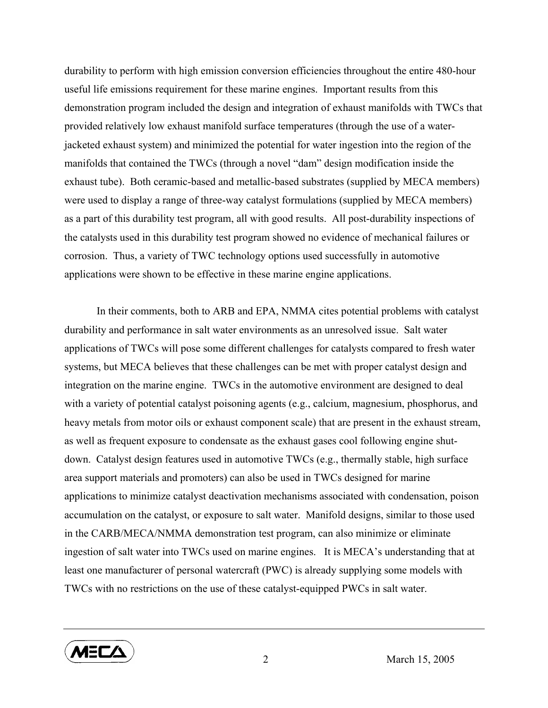durability to perform with high emission conversion efficiencies throughout the entire 480-hour useful life emissions requirement for these marine engines. Important results from this demonstration program included the design and integration of exhaust manifolds with TWCs that provided relatively low exhaust manifold surface temperatures (through the use of a waterjacketed exhaust system) and minimized the potential for water ingestion into the region of the manifolds that contained the TWCs (through a novel "dam" design modification inside the exhaust tube). Both ceramic-based and metallic-based substrates (supplied by MECA members) were used to display a range of three-way catalyst formulations (supplied by MECA members) as a part of this durability test program, all with good results. All post-durability inspections of the catalysts used in this durability test program showed no evidence of mechanical failures or corrosion. Thus, a variety of TWC technology options used successfully in automotive applications were shown to be effective in these marine engine applications.

In their comments, both to ARB and EPA, NMMA cites potential problems with catalyst durability and performance in salt water environments as an unresolved issue. Salt water applications of TWCs will pose some different challenges for catalysts compared to fresh water systems, but MECA believes that these challenges can be met with proper catalyst design and integration on the marine engine. TWCs in the automotive environment are designed to deal with a variety of potential catalyst poisoning agents (e.g., calcium, magnesium, phosphorus, and heavy metals from motor oils or exhaust component scale) that are present in the exhaust stream, as well as frequent exposure to condensate as the exhaust gases cool following engine shutdown. Catalyst design features used in automotive TWCs (e.g., thermally stable, high surface area support materials and promoters) can also be used in TWCs designed for marine applications to minimize catalyst deactivation mechanisms associated with condensation, poison accumulation on the catalyst, or exposure to salt water. Manifold designs, similar to those used in the CARB/MECA/NMMA demonstration test program, can also minimize or eliminate ingestion of salt water into TWCs used on marine engines. It is MECA's understanding that at least one manufacturer of personal watercraft (PWC) is already supplying some models with TWCs with no restrictions on the use of these catalyst-equipped PWCs in salt water.



2 March 15, 2005